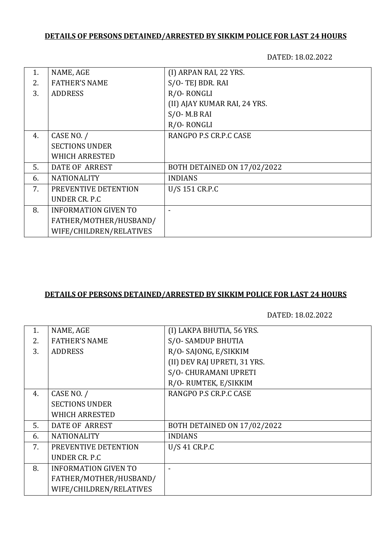# **DETAILS OF PERSONS DETAINED/ARRESTED BY SIKKIM POLICE FOR LAST 24 HOURS**

DATED: 18.02.2022

| NAME, AGE                   | (I) ARPAN RAI, 22 YRS.       |
|-----------------------------|------------------------------|
| <b>FATHER'S NAME</b>        | S/O-TEJ BDR. RAI             |
| <b>ADDRESS</b>              | R/O-RONGLI                   |
|                             | (II) AJAY KUMAR RAI, 24 YRS. |
|                             | $S/O- M.B$ RAI               |
|                             | R/O-RONGLI                   |
| CASE NO. /                  | RANGPO P.S CR.P.C CASE       |
| <b>SECTIONS UNDER</b>       |                              |
| <b>WHICH ARRESTED</b>       |                              |
| <b>DATE OF ARREST</b>       | BOTH DETAINED ON 17/02/2022  |
| <b>NATIONALITY</b>          | <b>INDIANS</b>               |
| PREVENTIVE DETENTION        | U/S 151 CR.P.C               |
| UNDER CR. P.C.              |                              |
| <b>INFORMATION GIVEN TO</b> |                              |
| FATHER/MOTHER/HUSBAND/      |                              |
| WIFE/CHILDREN/RELATIVES     |                              |
|                             |                              |

### **DETAILS OF PERSONS DETAINED/ARRESTED BY SIKKIM POLICE FOR LAST 24 HOURS**

DATED: 18.02.2022

| 1. | NAME, AGE                   | (I) LAKPA BHUTIA, 56 YRS.    |
|----|-----------------------------|------------------------------|
| 2. | <b>FATHER'S NAME</b>        | S/O-SAMDUP BHUTIA            |
| 3. | <b>ADDRESS</b>              | R/O-SAJONG, E/SIKKIM         |
|    |                             | (II) DEV RAJ UPRETI, 31 YRS. |
|    |                             | S/O- CHURAMANI UPRETI        |
|    |                             | R/O-RUMTEK, E/SIKKIM         |
| 4. | CASE NO. /                  | RANGPO P.S CR.P.C CASE       |
|    | <b>SECTIONS UNDER</b>       |                              |
|    | <b>WHICH ARRESTED</b>       |                              |
| 5. | DATE OF ARREST              | BOTH DETAINED ON 17/02/2022  |
| 6. | <b>NATIONALITY</b>          | <b>INDIANS</b>               |
| 7. | PREVENTIVE DETENTION        | U/S 41 CR.P.C                |
|    | UNDER CR. P.C.              |                              |
| 8. | <b>INFORMATION GIVEN TO</b> |                              |
|    | FATHER/MOTHER/HUSBAND/      |                              |
|    | WIFE/CHILDREN/RELATIVES     |                              |
|    |                             |                              |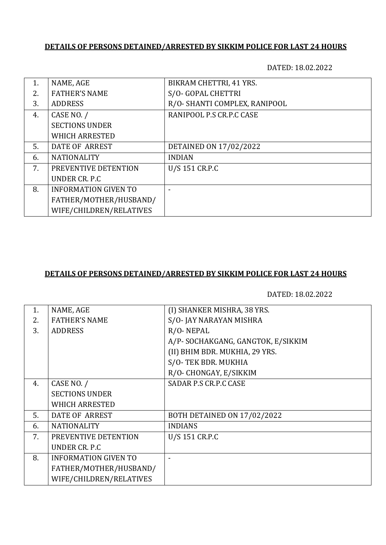### **DETAILS OF PERSONS DETAINED/ARRESTED BY SIKKIM POLICE FOR LAST 24 HOURS**

DATED: 18.02.2022

| 1. | NAME, AGE                   | BIKRAM CHETTRI, 41 YRS.       |
|----|-----------------------------|-------------------------------|
| 2. | <b>FATHER'S NAME</b>        | S/O- GOPAL CHETTRI            |
| 3. | <b>ADDRESS</b>              | R/O- SHANTI COMPLEX, RANIPOOL |
| 4. | CASE NO. /                  | RANIPOOL P.S CR.P.C CASE      |
|    | <b>SECTIONS UNDER</b>       |                               |
|    | <b>WHICH ARRESTED</b>       |                               |
| 5. | DATE OF ARREST              | DETAINED ON 17/02/2022        |
| 6. | <b>NATIONALITY</b>          | <b>INDIAN</b>                 |
| 7. | PREVENTIVE DETENTION        | U/S 151 CR.P.C                |
|    | UNDER CR. P.C.              |                               |
| 8. | <b>INFORMATION GIVEN TO</b> |                               |
|    | FATHER/MOTHER/HUSBAND/      |                               |
|    | WIFE/CHILDREN/RELATIVES     |                               |

#### **DETAILS OF PERSONS DETAINED/ARRESTED BY SIKKIM POLICE FOR LAST 24 HOURS**

DATED: 18.02.2022

| NAME, AGE                   | (I) SHANKER MISHRA, 38 YRS.       |
|-----------------------------|-----------------------------------|
| <b>FATHER'S NAME</b>        | S/O-JAY NARAYAN MISHRA            |
| <b>ADDRESS</b>              | $R/O$ - NEPAL                     |
|                             | A/P-SOCHAKGANG, GANGTOK, E/SIKKIM |
|                             | (II) BHIM BDR. MUKHIA, 29 YRS.    |
|                             | S/O-TEK BDR. MUKHIA               |
|                             | R/O- CHONGAY, E/SIKKIM            |
| CASE NO. /                  | SADAR P.S CR.P.C CASE             |
| <b>SECTIONS UNDER</b>       |                                   |
| <b>WHICH ARRESTED</b>       |                                   |
| <b>DATE OF ARREST</b>       | BOTH DETAINED ON 17/02/2022       |
| <b>NATIONALITY</b>          | <b>INDIANS</b>                    |
| PREVENTIVE DETENTION        | U/S 151 CR.P.C                    |
| UNDER CR. P.C               |                                   |
| <b>INFORMATION GIVEN TO</b> |                                   |
| FATHER/MOTHER/HUSBAND/      |                                   |
| WIFE/CHILDREN/RELATIVES     |                                   |
|                             |                                   |